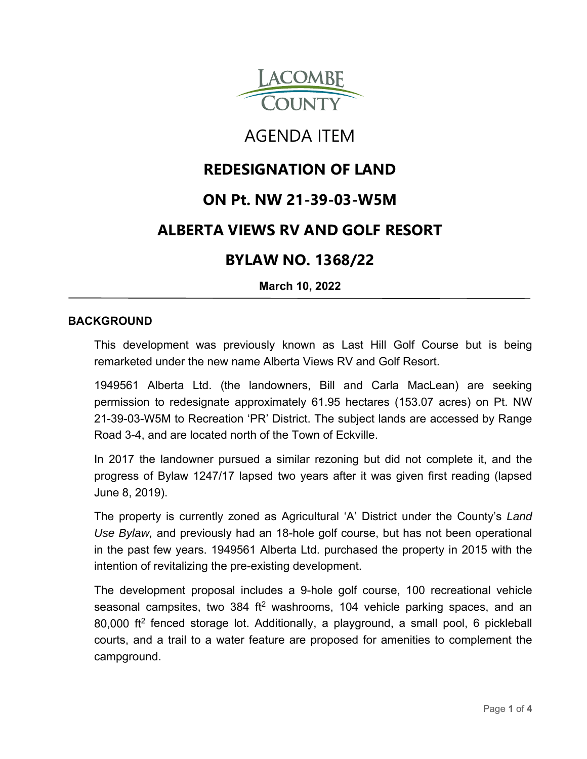

# AGENDA ITEM

# **REDESIGNATION OF LAND**

# **ON Pt. NW 21-39-03-W5M**

### **ALBERTA VIEWS RV AND GOLF RESORT**

### **BYLAW NO. 1368/22**

**March 10, 2022**

#### **BACKGROUND**

This development was previously known as Last Hill Golf Course but is being remarketed under the new name Alberta Views RV and Golf Resort.

1949561 Alberta Ltd. (the landowners, Bill and Carla MacLean) are seeking permission to redesignate approximately 61.95 hectares (153.07 acres) on Pt. NW 21-39-03-W5M to Recreation 'PR' District. The subject lands are accessed by Range Road 3-4, and are located north of the Town of Eckville.

In 2017 the landowner pursued a similar rezoning but did not complete it, and the progress of Bylaw 1247/17 lapsed two years after it was given first reading (lapsed June 8, 2019).

The property is currently zoned as Agricultural 'A' District under the County's *Land Use Bylaw,* and previously had an 18-hole golf course, but has not been operational in the past few years. 1949561 Alberta Ltd. purchased the property in 2015 with the intention of revitalizing the pre-existing development.

The development proposal includes a 9-hole golf course, 100 recreational vehicle seasonal campsites, two 384 ft<sup>2</sup> washrooms, 104 vehicle parking spaces, and an 80,000 ft2 fenced storage lot. Additionally, a playground, a small pool, 6 pickleball courts, and a trail to a water feature are proposed for amenities to complement the campground.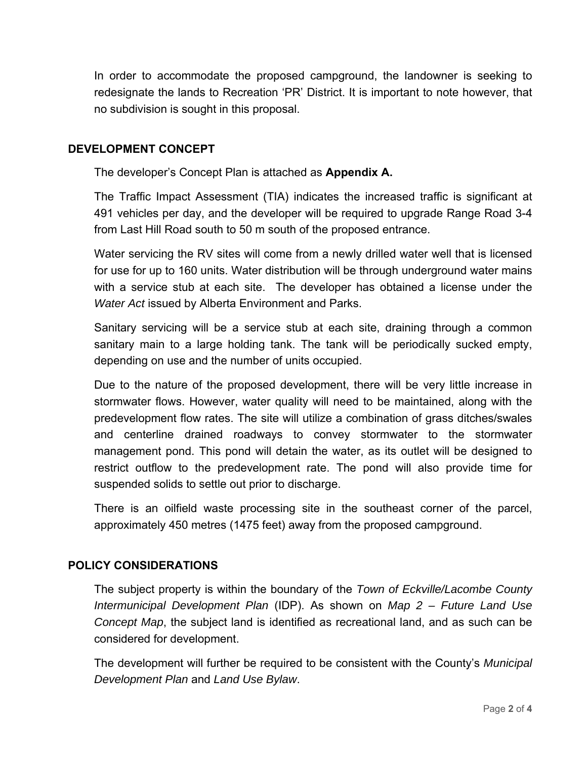In order to accommodate the proposed campground, the landowner is seeking to redesignate the lands to Recreation 'PR' District. It is important to note however, that no subdivision is sought in this proposal.

#### **DEVELOPMENT CONCEPT**

The developer's Concept Plan is attached as **Appendix A.**

The Traffic Impact Assessment (TIA) indicates the increased traffic is significant at 491 vehicles per day, and the developer will be required to upgrade Range Road 3-4 from Last Hill Road south to 50 m south of the proposed entrance.

Water servicing the RV sites will come from a newly drilled water well that is licensed for use for up to 160 units. Water distribution will be through underground water mains with a service stub at each site. The developer has obtained a license under the *Water Act* issued by Alberta Environment and Parks.

Sanitary servicing will be a service stub at each site, draining through a common sanitary main to a large holding tank. The tank will be periodically sucked empty, depending on use and the number of units occupied.

Due to the nature of the proposed development, there will be very little increase in stormwater flows. However, water quality will need to be maintained, along with the predevelopment flow rates. The site will utilize a combination of grass ditches/swales and centerline drained roadways to convey stormwater to the stormwater management pond. This pond will detain the water, as its outlet will be designed to restrict outflow to the predevelopment rate. The pond will also provide time for suspended solids to settle out prior to discharge.

There is an oilfield waste processing site in the southeast corner of the parcel, approximately 450 metres (1475 feet) away from the proposed campground.

#### **POLICY CONSIDERATIONS**

The subject property is within the boundary of the *Town of Eckville/Lacombe County Intermunicipal Development Plan* (IDP). As shown on *Map 2 – Future Land Use Concept Map*, the subject land is identified as recreational land, and as such can be considered for development.

The development will further be required to be consistent with the County's *Municipal Development Plan* and *Land Use Bylaw*.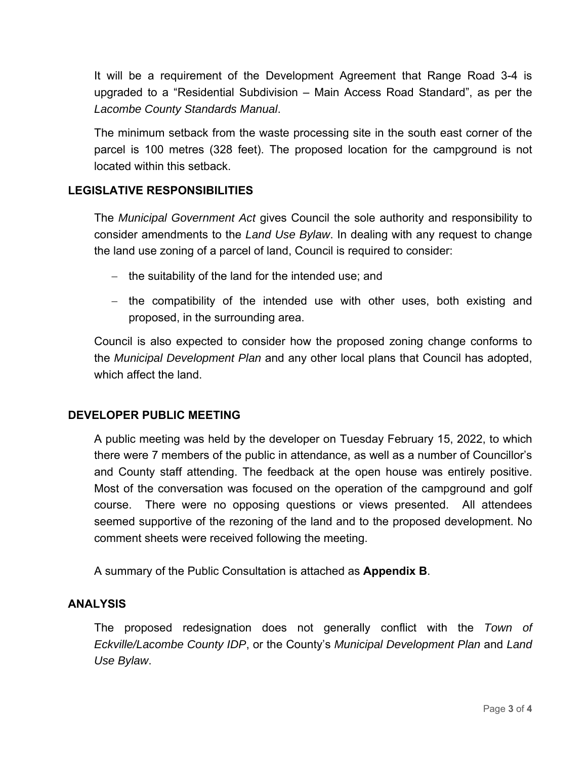It will be a requirement of the Development Agreement that Range Road 3-4 is upgraded to a "Residential Subdivision – Main Access Road Standard", as per the *Lacombe County Standards Manual*.

The minimum setback from the waste processing site in the south east corner of the parcel is 100 metres (328 feet). The proposed location for the campground is not located within this setback.

#### **LEGISLATIVE RESPONSIBILITIES**

The *Municipal Government Act* gives Council the sole authority and responsibility to consider amendments to the *Land Use Bylaw*. In dealing with any request to change the land use zoning of a parcel of land, Council is required to consider:

- $-$  the suitability of the land for the intended use; and
- $-$  the compatibility of the intended use with other uses, both existing and proposed, in the surrounding area.

Council is also expected to consider how the proposed zoning change conforms to the *Municipal Development Plan* and any other local plans that Council has adopted, which affect the land.

#### **DEVELOPER PUBLIC MEETING**

A public meeting was held by the developer on Tuesday February 15, 2022, to which there were 7 members of the public in attendance, as well as a number of Councillor's and County staff attending. The feedback at the open house was entirely positive. Most of the conversation was focused on the operation of the campground and golf course. There were no opposing questions or views presented. All attendees seemed supportive of the rezoning of the land and to the proposed development. No comment sheets were received following the meeting.

A summary of the Public Consultation is attached as **Appendix B**.

#### **ANALYSIS**

The proposed redesignation does not generally conflict with the *Town of Eckville/Lacombe County IDP*, or the County's *Municipal Development Plan* and *Land Use Bylaw*.